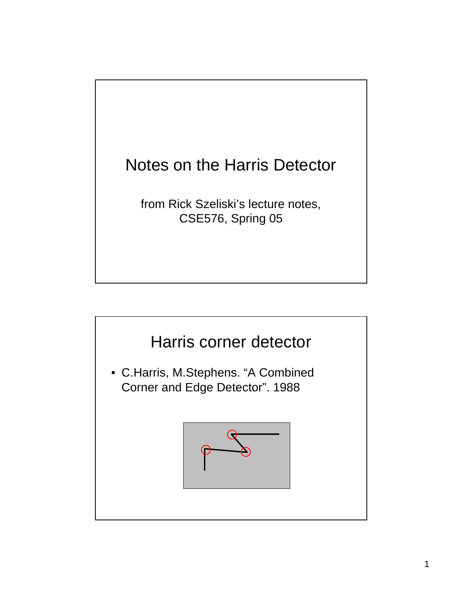

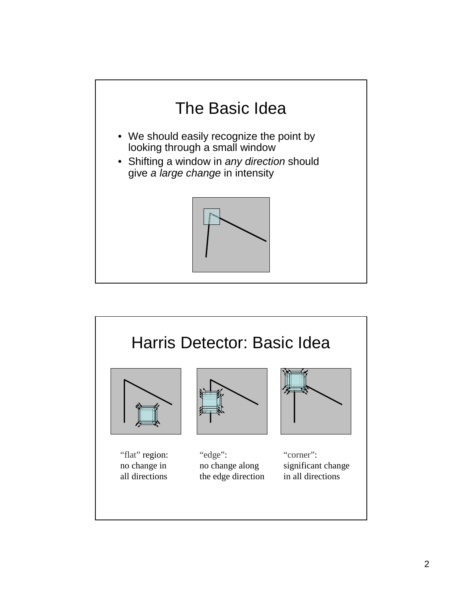

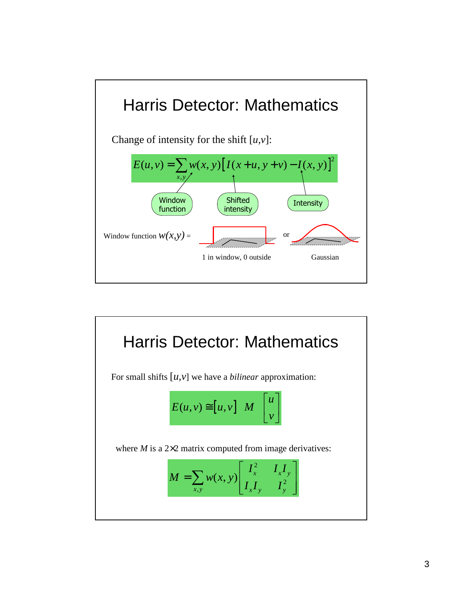

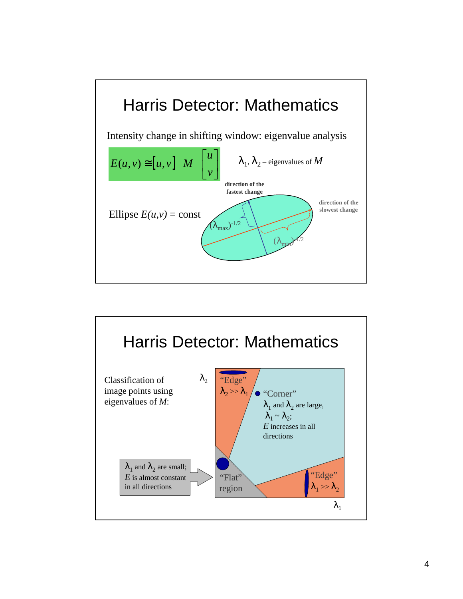

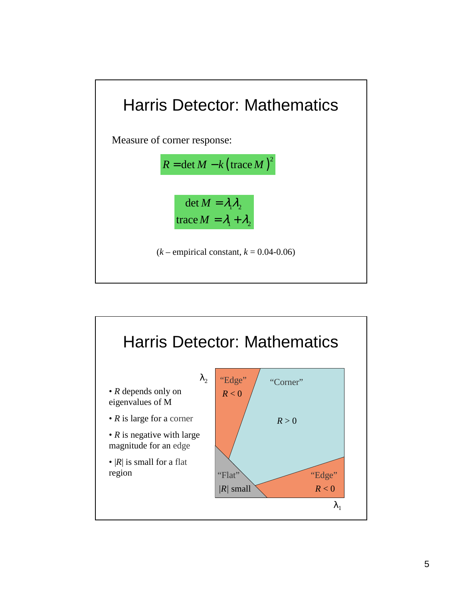

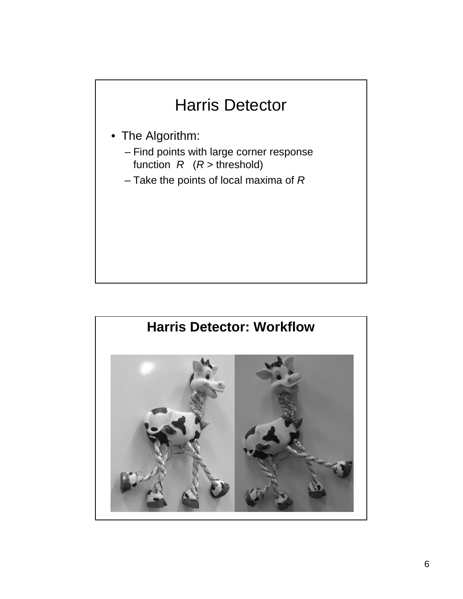## Harris Detector

- The Algorithm:
	- Find points with large corner response function  $R$  ( $R$  > threshold)
	- Take the points of local maxima of  $R$

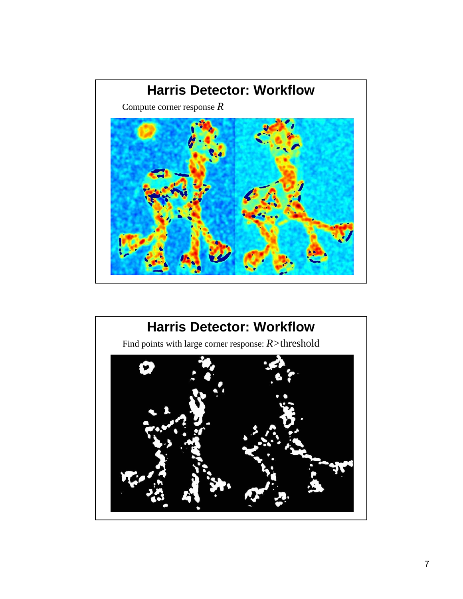

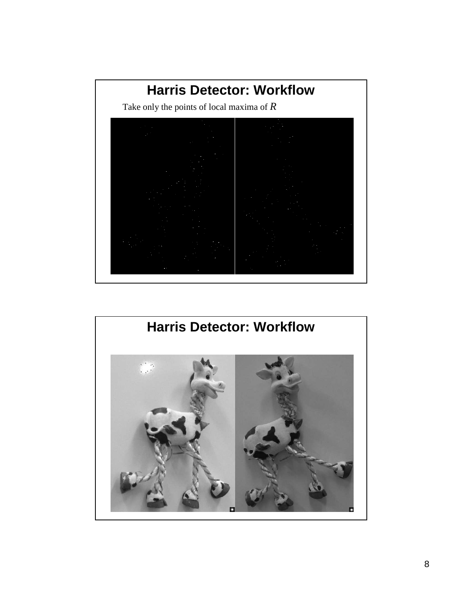

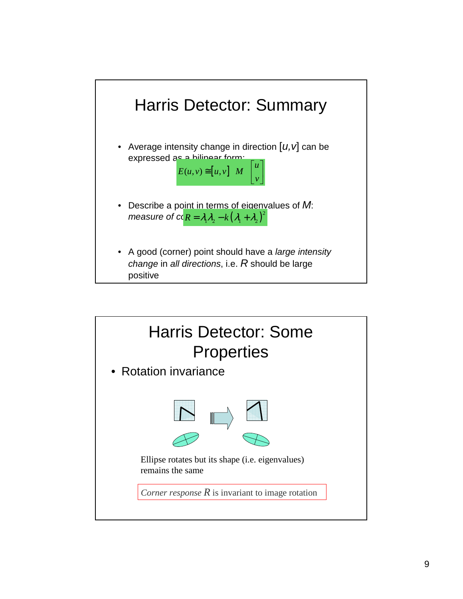

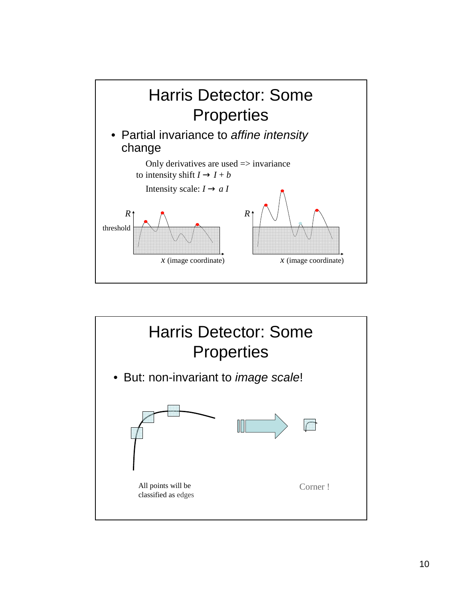

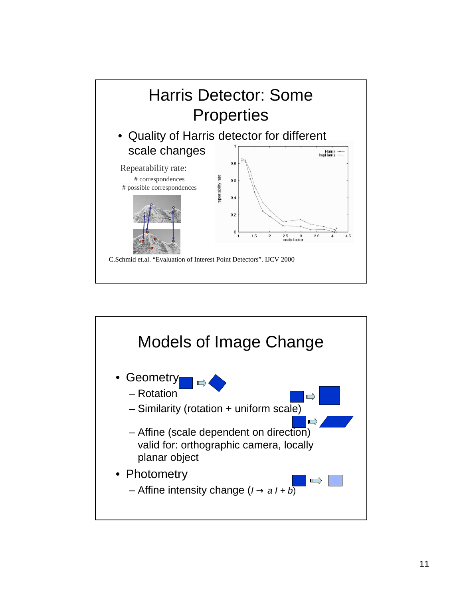